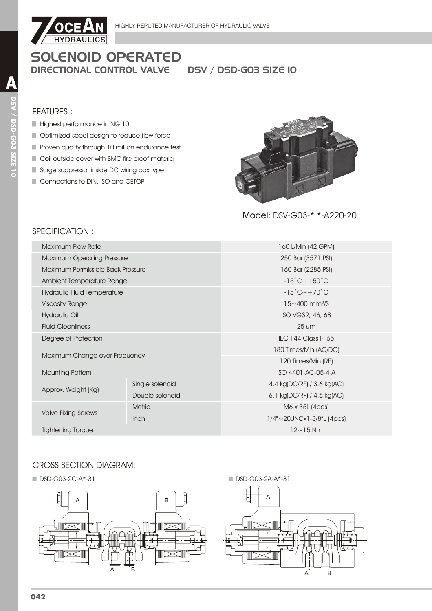

# **SOLENOID OPERATED DIRECTIONAL CONTROL VALVE**

**DSV / DSD-G03 SIZE IO** 

#### **FEATURES:**

- Highest performance in NG 10
- Optimized spool design to reduce flow force
- Proven quality through 10 million endurance test
- Coil outside cover with BMC fire proof material
- Surge suppressor inside DC wiring box type
- Connections to DIN, ISO and CETOP



Model: DSV-G03-\* \*-A220-20

# SPECIFICATION:

| 160 L/Min (42 GPM)                      |  |  |  |
|-----------------------------------------|--|--|--|
| 250 Bar (3571 PSI)                      |  |  |  |
| 160 Bar (2285 PSI)                      |  |  |  |
| $-15^{\circ}$ C $\sim$ +50 $^{\circ}$ C |  |  |  |
| $-15^{\circ}$ C $\sim$ +70 $^{\circ}$ C |  |  |  |
| $15 - 400$ mm <sup>2</sup> /S           |  |  |  |
| ISO VG32, 46, 68                        |  |  |  |
| $25 \mu m$                              |  |  |  |
| IEC 144 Class IP 65                     |  |  |  |
| 180 Times/Min (AC/DC)                   |  |  |  |
| 120 Times/Min (RF)                      |  |  |  |
| ISO 4401-AC-05-4-A                      |  |  |  |
| 4.4 kg(DC/RF) / 3.6 kg(AC)              |  |  |  |
| 6.1 kg(DC/RF) / 4.6 kg(AC)              |  |  |  |
| M6 x 35L (4pcs)                         |  |  |  |
| $1/4$ "~20UNCx1-3/8"L (4pcs)            |  |  |  |
| $12 - 15$ Nm                            |  |  |  |
|                                         |  |  |  |

## **CROSS SECTION DIAGRAM:**

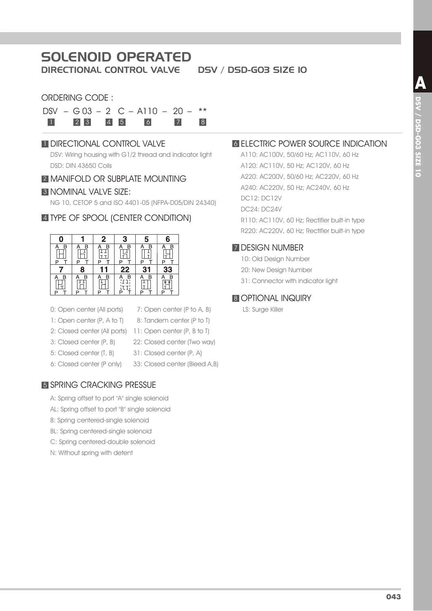# SOLENOID OPERATED

DIRECTIONAL CONTROL VALVE DSV / DSD-G03 SIZE 10

#### ORDERING CODE :

| $DSV - G03 - 2 C - A110 - 20 -$ ** |  |       |  |
|------------------------------------|--|-------|--|
| 1 2 3 4 5 6                        |  | $7$ 8 |  |

#### **1 DIRECTIONAL CONTROL VALVE**

DSV: Wiring housing with G1/2 thread and indicator light DSD: DIN 43650 Coils

#### **2 MANIFOLD OR SUBPLATE MOUNTING**

#### **3 NOMINAL VALVE SIZE:**

NG 10, CETOP 5 and ISO 4401-05 (NFPA-D05/DIN 24340)

#### 4 TYPE OF SPOOL (CENTER CONDITION)



- 0: Open center (All ports)
- 7: Open center (P to A, B) 8: Tandem center (P to T)
- 2: Closed center (All ports) 11: Open center (P, B to T) 1: Open center (P, A to T)
- 3: Closed center (P, B)
	- 22: Closed center (Two way)
- 31: Closed center (P, A) 5: Closed center (T, B)
- 6: Closed center (P only)
- 33: Closed center (Bleed A,B)

#### 5 SPRING CRACKING PRESSUE

- A: Spring offset to port "A" single solenoid
- AL: Spring offset to port "B" single solenoid
- B: Spring centered-single solenoid
- BL: Spring centered-single solenoid
- C: Spring centered-double solenoid
- N: Without spring with detent

## **6 ELECTRIC POWER SOURCE INDICATION**

A110: AC100V, 50/60 Hz; AC110V, 60 Hz A120: AC110V, 50 Hz; AC120V, 60 Hz A220: AC200V, 50/60 Hz; AC220V, 60 Hz A240: AC220V, 50 Hz; AC240V, 60 Hz DC12: DC12V DC24: DC24V R110: AC110V, 60 Hz; Rectifier built-in type R220: AC220V, 60 Hz; Rectifier built-in type

#### **7 DESIGN NUMBER**

- 10: Old Design Number
- 20: New Design Number
- 31: Connector with indicator light

## **8 OPTIONAL INQUIRY**

LS: Surge Killer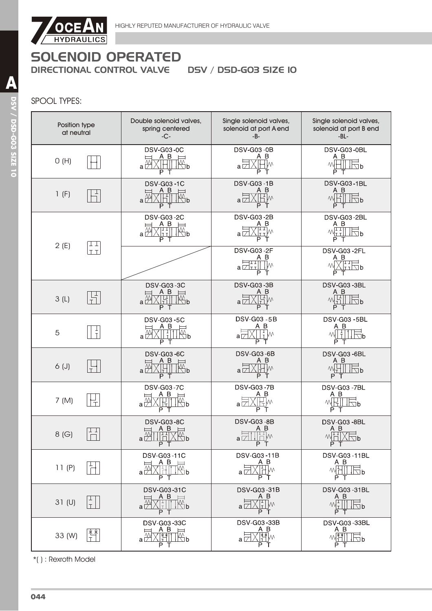

# SPOOL TYPES:

| Position type<br>at neutral | Double solenoid valves,<br>spring centered<br>$-C -$                                                          | Single solenoid valves,<br>solenoid at port A end<br>-B-                                  | Single solenoid valves,<br>solenoid at port B end<br>$-BL -$                                                                                                     |
|-----------------------------|---------------------------------------------------------------------------------------------------------------|-------------------------------------------------------------------------------------------|------------------------------------------------------------------------------------------------------------------------------------------------------------------|
| O(H)                        | <b>DSV-G03-0C</b><br>A B<br>$a\overrightarrow{v}$<br>∖b<br>ΡТ                                                 | <b>DSV-G03-0B</b><br>A B<br>W٧<br>аĘ<br>P<br>$\top$                                       | DSV-G03-0BL<br>A B<br>M<br>$\Box$ p<br>ΡТ                                                                                                                        |
| 1(F)                        | <b>DSV-G03-1C</b><br>ΑB<br>$\mathbb{R}^{\mathsf{p}}$<br>$a\not\sqsubset$<br>P<br>Т                            | <b>DSV-G03-1B</b><br>ΑВ<br>Ħw<br>$a\nabla$<br>P<br>$\top$                                 | <b>DSV-G03-1BL</b><br>A B<br><b>WHITEP</b><br>P<br>Т                                                                                                             |
| TТ<br>2(E)                  | <b>DSV-G03-2C</b><br>A B<br>∤l⊡b<br>lt ti<br>a ∠<br>P T                                                       | <b>DSV-G03-2B</b><br>$A$ B<br><u>II I</u> m<br>РT                                         | DSV-G03-2BL<br>A B<br>$M_{\rm LT}^{\rm T} \parallel \parallel \equiv$ b<br>P T                                                                                   |
| TT <sub></sub>              |                                                                                                               | <b>DSV-G03-2F</b><br>A B<br>$\Box$<br>$\downarrow$ $\downarrow$ $\vee$<br>а ∣7∃тт І<br>РT | DSV-G03-2FL<br>A B<br>ノロエー<br>™⊤ ∏D<br>P<br>т                                                                                                                    |
| 3(L)                        | <b>DSV-G03-3C</b><br>A B<br>l∰b<br>$a\overrightarrow{7}$<br>PТ                                                | <b>DSV-G03-3B</b><br>A B<br>내급<br>$a\sqrt{ }$<br>PT                                       | DSV-G03-3BL<br>A B<br>1 T I<br>씨노<br>$\Box b$<br>P T                                                                                                             |
| 5                           | <b>DSV-G03-5C</b><br>A B<br>$\mathbb{Z}^p$<br>$a \nightharpoonup$<br>P T                                      | <b>DSV-G03-5B</b><br>A B<br>$\frac{1}{T}$ M<br>aГ<br>P T                                  | <b>DSV-G03 - 5BL</b><br>A B<br>Ŧ<br>٨N<br>∖∏b<br>P T                                                                                                             |
| $6($ J $)$                  | <b>DSV-G03-6C</b><br>A B<br>$a\frac{N}{L}$<br>∖∏D<br>ΡТ                                                       | <b>DSV-G03-6B</b><br>A B<br> Hw<br>a l7<br>РT                                             | DSV-G03-6BL<br>A B<br>$\sqrt{2b}$<br>IT.<br>PT                                                                                                                   |
| 7 (M)                       | <b>DSV-G03-7C</b><br>A B<br>$a\not\uparrow$<br>∆⊡ b<br>P                                                      | <b>DSV-G03-7B</b><br>A B<br>$\top$<br>Р<br>Т                                              | DSV-G03-7BL<br>A B<br>M<br>$\Box b$<br>$\top$<br>PT                                                                                                              |
| 8(G)<br>سيسبب               | <b>DSV-G03-8C</b><br>$\begin{array}{c} A \ B \ \hline \end{array}$<br>ζ∰ <sub>b</sub><br>$a \sqrt{11}$<br>P T | <b>DSV-G03-8B</b><br>$A$ $B$<br>$\frac{1}{2}$ M<br>$a \boxtimes \perp$<br>P T             | <b>DSV-G03-8BL</b><br>$\begin{array}{c}\nA & B \\ \mathbb{W} \left[\begin{array}{c}\mathbb{H} \\ \mathbb{H}\end{array}\right]\n\end{array}$<br><u>IXMp</u><br>PT |
| 11(P)                       | <b>DSV-G03-11C</b><br>$A$ $B$<br>$\overline{\phantom{a}}$<br>$\mathbb{R}_{\mathsf{b}}$<br>XHI<br>a l7<br>P T  | DSV-G03-11B<br>A B<br>(HM<br>a ⊠<br>$\overline{P}$ T                                      | DSV-G03-11BL<br>A B<br>M <sub>1</sub><br>$\mathbb{E}^{\mathsf{p}}$<br>P T                                                                                        |
| 31 <sub>(U)</sub>           | DSV-G03-31C<br>A B<br>$\mathbb{R}^{\mathsf{p}}$<br>$a \vee$<br>PТ                                             | DSV-G03-31B<br>A B<br>$\sqrt{\frac{1}{1}}$ M<br>a   /<br>P T                              | DSV-G03-31BL<br>A B<br>$M_T$<br>$\overline{1}$<br>P T                                                                                                            |
| 33 (W)                      | DSV-G03-33C<br>A B<br>₩<br>Nb<br>РT                                                                           | DSV-G03-33B<br>ΑB<br>墜<br>a∣∕<br>T.<br>ΡТ                                                 | <b>DSV-G03-33BL</b><br>A B<br>$M_{\rm T}^{\rm xx}$<br>$\Box$ b<br>P T                                                                                            |

\*( ) : Rexroth Model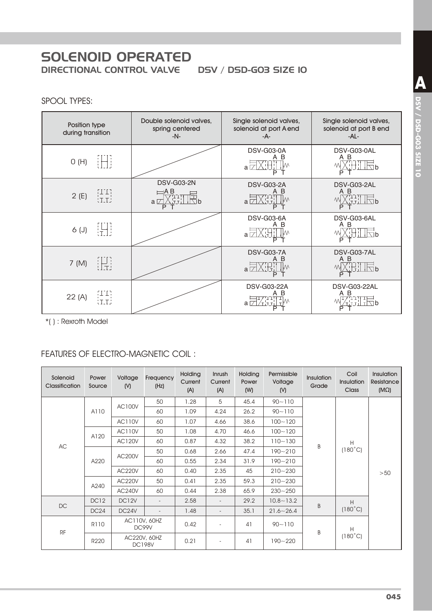# **SOLENOID OPERATED DIRECTIONAL CONTROL VALVE**

DSV / DSD-GO3 SIZE IO

## SPOOL TYPES:

| Position type<br>during transition | Double solenoid valves,<br>spring centered<br>$-N-$ | Single solenoid valves,<br>solenoid at port A end<br>-A- | Single solenoid valves,<br>solenoid at port B end<br>$-AL -$                          |
|------------------------------------|-----------------------------------------------------|----------------------------------------------------------|---------------------------------------------------------------------------------------|
| iHi<br>O(H)                        |                                                     | DSV-G03-0A<br>B<br>$a\n  \n$<br>Р                        | DSV-G03-0AL<br>A B<br><b>THTLE</b><br>P                                               |
| HH)<br>tri<br>2(E)                 | <b>DSV-G03-2N</b><br>$\equiv$ AB<br>$a\nabla$<br>P  | <b>DSV-G03-2A</b><br>B<br>a $\Box$<br>P                  | DSV-G03-2AL<br>A B<br>XHH Eb<br>M<br>P                                                |
| 进<br>$6($ J $)$                    |                                                     | DSV-G03-6A<br>B<br>Α<br>$a \Box$<br>P                    | DSV-G03-6AL<br>A B<br>山巴<br>P                                                         |
| 旧<br>7 (M)                         |                                                     | <b>DSV-G03-7A</b><br>B<br>$a \Box$<br>P                  | DSV-G03-7AL<br>A B<br><b>THILE</b><br>МW<br>P                                         |
| HH)<br>H.T.<br>22(A)               |                                                     | DSV-G03-22A<br>в<br>a l                                  | DSV-G03-22AL<br>Α<br>B<br>$\frac{1}{11}$ $\frac{1}{11}$ $\frac{1}{10}$ $\frac{1}{10}$ |

\*(): Rexroth Model

# **FEATURES OF ELECTRO-MAGNETIC COIL:**

| Solenoid<br><b>Classification</b> | Power<br>Source  | Voltage<br>(N) | Frequency<br>(Hz)             | <b>Holding</b><br>Current<br>(A) | Inrush<br>Current<br>(A) | <b>Holding</b><br>Power<br>(W) | Permissible<br>Voltage<br>(N) | Insulation<br>Grade | Coil<br>Insulation<br><b>Class</b> | <b>Insulation</b><br>Resistance<br>$(M\Omega)$ |
|-----------------------------------|------------------|----------------|-------------------------------|----------------------------------|--------------------------|--------------------------------|-------------------------------|---------------------|------------------------------------|------------------------------------------------|
|                                   |                  | <b>AC100V</b>  | 50                            | 1.28                             | 5                        | 45.4                           | $90 - 110$                    |                     |                                    |                                                |
|                                   | A110             |                | 60                            | 1.09                             | 4.24                     | 26.2                           | $90 - 110$                    |                     |                                    |                                                |
|                                   |                  | <b>AC110V</b>  | 60                            | 1.07                             | 4.66                     | 38.6                           | $100 - 120$                   |                     |                                    |                                                |
|                                   | A120             | <b>AC110V</b>  | 50                            | 1.08                             | 4.70                     | 46.6                           | $100 - 120$                   |                     | H<br>$(180^{\circ}C)$              | >50                                            |
| AC                                |                  | <b>AC120V</b>  | 60                            | 0.87                             | 4.32                     | 38.2                           | $110 - 130$                   | B                   |                                    |                                                |
|                                   | A220             | <b>AC200V</b>  | 50                            | 0.68                             | 2.66                     | 47.4                           | $190 - 210$                   |                     |                                    |                                                |
|                                   |                  |                | 60                            | 0.55                             | 2.34                     | 31.9                           | $190 - 210$                   |                     |                                    |                                                |
|                                   |                  | <b>AC220V</b>  | 60                            | 0.40                             | 2.35                     | 45                             | $210 - 230$                   |                     |                                    |                                                |
|                                   |                  | <b>AC220V</b>  | 50                            | 0.41                             | 2.35                     | 59.3                           | $210 - 230$                   |                     |                                    |                                                |
|                                   | A240             | <b>AC240V</b>  | 60                            | 0.44                             | 2.38                     | 65.9                           | $230 - 250$                   |                     |                                    |                                                |
| <b>DC</b>                         | DC <sub>12</sub> | DC12V          | $\sim$                        | 2.58                             | $\overline{\phantom{a}}$ | 29.2                           | $10.8 - 13.2$                 | B                   | H                                  |                                                |
|                                   | DC24             | DC24V          | $\overline{\phantom{a}}$      | 1.48                             | $\overline{\phantom{a}}$ | 35.1                           | $21.6 - 26.4$                 |                     | $(180^{\circ}C)$                   |                                                |
|                                   | <b>R110</b>      |                | AC110V, 60HZ<br>DC99V         | 0.42                             |                          | 41                             | $90 - 110$                    | B                   | H                                  |                                                |
| <b>RF</b>                         | R220             |                | AC220V, 60HZ<br><b>DC198V</b> | 0.21                             | $\overline{\phantom{a}}$ | 41                             | $190 - 220$                   |                     | $(180^{\circ}C)$                   |                                                |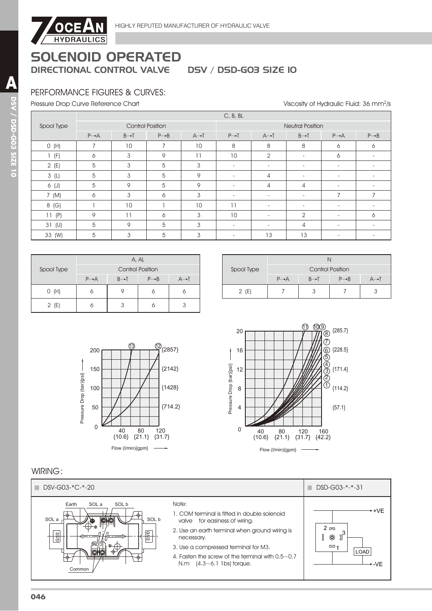

# PERFORMANCE FIGURES & CURVES:

Pressure Drop Curve Reference Chart North Americans and the University of Hydraulic Fluid: 36 mm<sup>2</sup>/s

|            |                   |                         |                   |                   | C, B, BL                 |                          |                          |                          |                   |  |
|------------|-------------------|-------------------------|-------------------|-------------------|--------------------------|--------------------------|--------------------------|--------------------------|-------------------|--|
| Spool Type |                   | <b>Control Position</b> |                   |                   | <b>Neutral Position</b>  |                          |                          |                          |                   |  |
|            | $P \rightarrow A$ | $B \rightarrow T$       | $P \rightarrow B$ | $A \rightarrow I$ | $P \rightarrow T$        | $A \rightarrow I$        | $B \rightarrow T$        | $P \rightarrow A$        | $P \rightarrow B$ |  |
| O(H)       | $\overline{ }$    | 10                      |                   | 10                | 8                        | 8                        | 8                        | 6                        | 6                 |  |
| (F)        | 6                 | 3                       | 9                 | 11                | 10                       | $\overline{2}$           | $\overline{\phantom{a}}$ | 6                        |                   |  |
| 2(E)       | 5                 | 3                       | 5                 | 3                 | $\blacksquare$           | $\overline{\phantom{a}}$ | $\overline{\phantom{a}}$ | $\overline{\phantom{a}}$ |                   |  |
| 3(L)       | 5                 | 3                       | 5                 | 9                 | $\overline{\phantom{0}}$ | 4                        | $\overline{\phantom{a}}$ | $\overline{\phantom{a}}$ |                   |  |
| 6 (J)      | 5                 | 9                       | 5                 | 9                 |                          | 4                        | 4                        |                          |                   |  |
| 7 (M)      | 6                 | 3                       | 6                 | 3                 | $\overline{\phantom{0}}$ | $\overline{\phantom{a}}$ | $\overline{\phantom{a}}$ | $\overline{7}$           |                   |  |
| 8 (G)      |                   | 10                      |                   | 10                | 11                       | $\overline{\phantom{a}}$ | $\overline{\phantom{a}}$ | $\overline{\phantom{a}}$ |                   |  |
| 11(P)      | 9                 | 11                      | 6                 | 3                 | 10                       | $\overline{\phantom{a}}$ | $\overline{2}$           | $\overline{\phantom{a}}$ | 6                 |  |
| $31$ (U)   | 5                 | 9                       | 5                 | 3                 | $\sim$                   | $\overline{\phantom{0}}$ | 4                        | $\overline{\phantom{a}}$ |                   |  |
| 33 (W)     | 5                 | 3                       | 5                 | 3                 | -                        | 13                       | 13                       |                          |                   |  |

| Spool Type | A, AL                   |                   |                   |     |  |  |  |  |
|------------|-------------------------|-------------------|-------------------|-----|--|--|--|--|
|            | <b>Control Position</b> |                   |                   |     |  |  |  |  |
|            | $P \rightarrow A$       | $B \rightarrow T$ | $P \rightarrow B$ | A→T |  |  |  |  |
| O(H)       |                         |                   |                   |     |  |  |  |  |
| 2(E)       |                         |                   |                   |     |  |  |  |  |

| Spool Type | <b>Control Position</b> |                   |                   |     |  |  |  |  |
|------------|-------------------------|-------------------|-------------------|-----|--|--|--|--|
|            | $P \rightarrow A$       | $R \rightarrow T$ | $P \rightarrow B$ | A→T |  |  |  |  |
| 2(E)       |                         |                   |                   |     |  |  |  |  |





## WIRING:

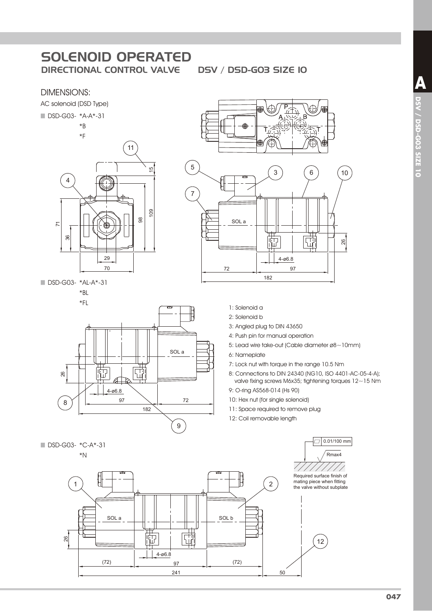#### DIMENSIONS:





■ DSD-G03- \*AL-A\*-31  $*$ BI

#### $*$ FL





- 1: Solenoid a
- 2: Solenoid b
- 3: Angled plug to DIN 43650
- 4: Push pin for manual operation
- 5: Lead wire take-out (Cable diameter ø8~10mm)
- 6: Nameplate
- 7: Lock nut with torque in the range 10.5 Nm
- 8: Connections to DIN 24340 (NG10, ISO 4401-AC-05-4-A); valve fixing screws M6x35; tightening torques 12~15 Nm
- 9: O-ring AS568-014 (Hs 90)
- 10: Hex nut (for single solenoid)
- 11: Space required to remove plug
- 12: Coil removable length

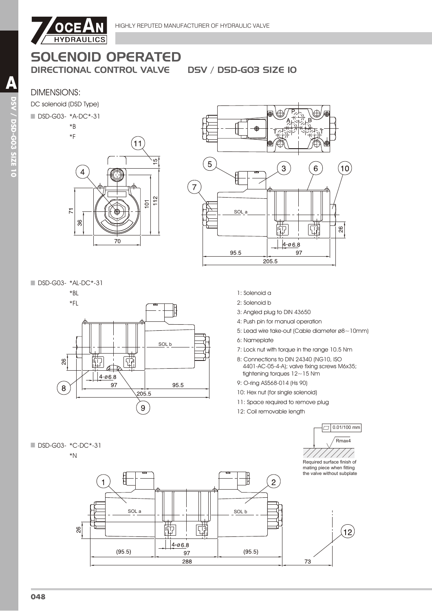

# SOLENOID OPERATED

DIRECTIONAL CONTROL VALVE DSV / DSD-G03 SIZE 10

## DIMENSIONS:

DC solenoid (DSD Type)

#### ■ DSD-G03- \*A-DC\*-31





DSD-G03- \*AL-DC\*-31

 $*BL$ 



- 1: Solenoid a
- 2: Solenoid b
- 3: Angled plug to DIN 43650
- 4: Push pin for manual operation
- 5: Lead wire take-out (Cable diameter ø8~10mm)
- 6: Nameplate
- 7: Lock nut with torque in the range 10.5 Nm
- 8: Connections to DIN 24340 (NG10, ISO 4401-AC-05-4-A); valve fixing screws M6x35; tightening torques 12~15 Nm

 $\Box$  0.01/100 mm

- 9: O-ring AS568-014 (Hs 90)
- 10: Hex nut (for single solenoid)
- 11: Space required to remove plug
- 12: Coil removable length





A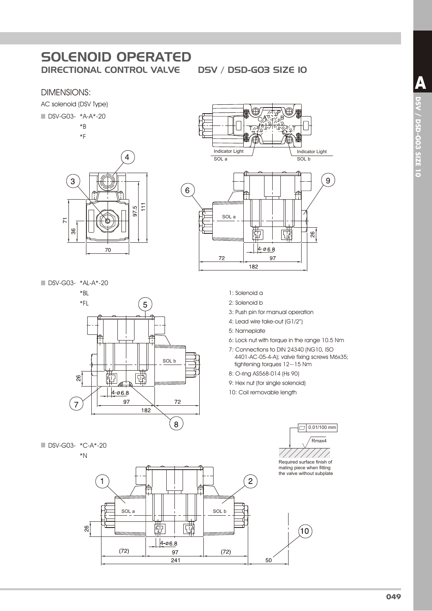# **SOLENOID OPERATED DIRECTIONAL CONTROL VALVE**

### **DIMENSIONS:**

AC solenoid (DSV Type)

DSV-G03- \*A-A\*-20

 $*B$ 

 $*F$ 

 $\overline{4}$  $\overline{3}$  $111$ 97.5  $\overline{K}$ 86 70

DSV-G03- \*AL-A\*-20



■ DSV-G03- \*C-A\*-20

 $*_{N}$ 





- 1: Solenoid a
- 2: Solenoid b
- 3: Push pin for manual operation
- 4: Lead wire take-out (G1/2")
- 5: Nameplate
- 6: Lock nut with torque in the range 10.5 Nm
- 7: Connections to DIN 24340 (NG10, ISO 4401-AC-05-4-A); valve fixing screws M6x35; tightening torques  $12 \sim 15$  Nm
- 8: O-ring AS568-014 (Hs 90)
- 9: Hex nut (for single solenoid)
- 10: Coil removable length



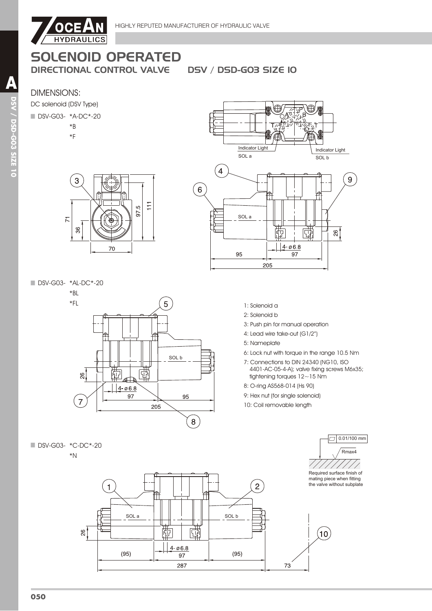

# SOLENOID OPERATED

DIRECTIONAL CONTROL VALVE DSV / DSD-G03 SIZE 10

SOL a

 $\mathbf{4}$ 

 $\left( 6\right)$ 

Indicator Light

SOL a

95

# DIMENSIONS:



#### ■ DSV-G03- \*A-DC\*-20

- $*B$
- $*F$
- 3  $\overline{11}$ LQ. 56  $\overline{7}$ 36 70

■ DSV-G03- \*AL-DC\*-20

 $*BL$ 



1: Solenoid a 2: Solenoid b

205

- 3: Push pin for manual operation
- 4: Lead wire take-out (G1/2")
- 5: Nameplate
- 6: Lock nut with torque in the range 10.5 Nm

屈

 $14.068$ 

97

Indicator Light

ని!

9

SOL b

- 7: Connections to DIN 24340 (NG10, ISO 4401-AC-05-4-A); valve fixing screws M6x35; tightening torques 12~15 Nm
- 8: O-ring AS568-014 (Hs 90)
- 9: Hex nut (for single solenoid)
- 10: Coil removable length